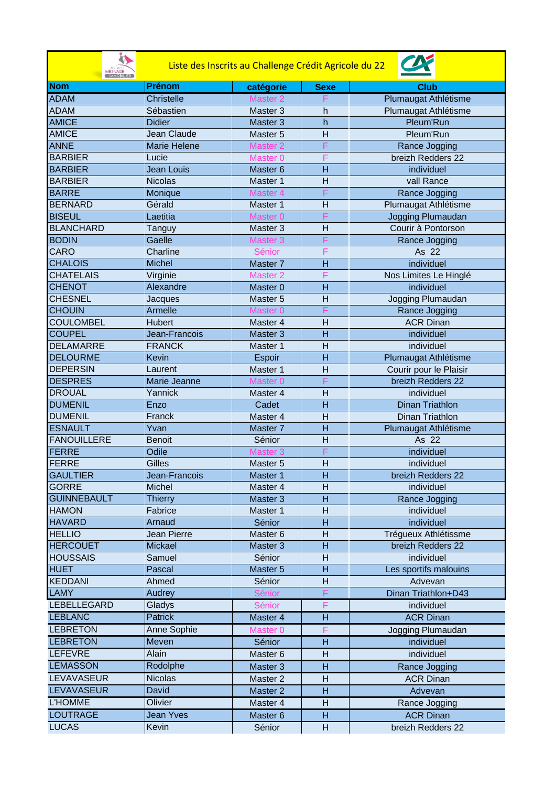| İA.<br><b>JESNAGE</b><br><b>IMMOBILIER</b> |                     | Liste des Inscrits au Challenge Crédit Agricole du 22 |                |                                           |
|--------------------------------------------|---------------------|-------------------------------------------------------|----------------|-------------------------------------------|
| <b>Nom</b>                                 | <b>Prénom</b>       | catégorie                                             | <b>Sexe</b>    | Club                                      |
| <b>ADAM</b>                                | <b>Christelle</b>   | Master <sub>2</sub>                                   |                | Plumaugat Athlétisme                      |
| <b>ADAM</b>                                | Sébastien           | Master 3                                              | h              | Plumaugat Athlétisme                      |
| <b>AMICE</b>                               | <b>Didier</b>       | Master 3                                              | $\overline{h}$ | Pleum'Run                                 |
| <b>AMICE</b>                               | Jean Claude         | Master 5                                              | $\overline{H}$ | Pleum'Run                                 |
| <b>ANNE</b>                                | <b>Marie Helene</b> | <b>Master 2</b>                                       |                | Rance Jogging                             |
| <b>BARBIER</b>                             | Lucie               | Master <sub>0</sub>                                   | F              | breizh Redders 22                         |
| <b>BARBIER</b>                             | <b>Jean Louis</b>   | Master <sub>6</sub>                                   | $\overline{H}$ | individuel                                |
| <b>BARBIER</b>                             | <b>Nicolas</b>      | Master 1                                              | $\overline{H}$ | vall Rance                                |
| <b>BARRE</b>                               | Monique             | Master <sub>4</sub>                                   |                | Rance Jogging                             |
| <b>BERNARD</b>                             | Gérald              | Master 1                                              | H              | Plumaugat Athlétisme                      |
| <b>BISEUL</b>                              | Laetitia            | Master <sub>0</sub>                                   | F              | Jogging Plumaudan                         |
| <b>BLANCHARD</b>                           | Tanguy              | Master 3                                              | $\overline{H}$ | Courir à Pontorson                        |
| <b>BODIN</b>                               | Gaelle              | Master <sub>3</sub>                                   | F              | Rance Jogging                             |
| CARO                                       | Charline            | Sénior                                                | F              | As 22                                     |
| <b>CHALOIS</b>                             | <b>Michel</b>       | Master <sub>7</sub>                                   | $\overline{H}$ | individuel                                |
| <b>CHATELAIS</b>                           | Virginie            | <b>Master 2</b>                                       | F              | Nos Limites Le Hinglé                     |
| <b>CHENOT</b>                              | Alexandre           | Master <sub>0</sub>                                   | $\overline{H}$ | individuel                                |
| <b>CHESNEL</b>                             | Jacques             | Master 5                                              | $\overline{H}$ | Jogging Plumaudan                         |
| <b>CHOUIN</b>                              | Armelle             | Master <sub>0</sub>                                   |                | Rance Jogging                             |
| <b>COULOMBEL</b>                           | Hubert              | Master 4                                              | $\overline{H}$ | <b>ACR Dinan</b>                          |
| <b>COUPEL</b>                              | Jean-Francois       | Master <sub>3</sub>                                   | H              | individuel                                |
| <b>DELAMARRE</b>                           | <b>FRANCK</b>       | Master 1                                              | $\overline{H}$ | individuel                                |
| <b>DELOURME</b>                            | <b>Kevin</b>        | Espoir                                                | $\overline{H}$ | Plumaugat Athlétisme                      |
| <b>DEPERSIN</b>                            | Laurent             | Master 1                                              | $\overline{H}$ | Courir pour le Plaisir                    |
| <b>DESPRES</b>                             | Marie Jeanne        | Master <sub>0</sub>                                   |                | breizh Redders 22                         |
| <b>DROUAL</b>                              | Yannick             | Master 4                                              | H              | individuel                                |
| <b>DUMENIL</b>                             | Enzo                | Cadet                                                 | $\overline{H}$ | <b>Dinan Triathlon</b>                    |
| <b>DUMENIL</b>                             | Franck              | Master 4                                              | $\overline{H}$ | Dinan Triathlon                           |
| <b>ESNAULT</b>                             | Yvan                | Master <sub>7</sub>                                   | $\overline{H}$ | Plumaugat Athlétisme                      |
| <b>FANOUILLERE</b>                         | <b>Benoit</b>       | Sénior                                                | H              | As 22                                     |
| <b>FERRE</b>                               | Odile               | Master <sub>3</sub>                                   | F              | individuel                                |
| FERRE                                      | Gilles              | Master 5                                              | $\overline{H}$ | individuel                                |
| <b>GAULTIER</b>                            | Jean-Francois       | Master 1                                              | н              | breizh Redders 22                         |
| <b>GORRE</b>                               | Michel              | Master 4                                              | $\overline{H}$ | individuel                                |
| <b>GUINNEBAULT</b>                         | <b>Thierry</b>      | Master 3                                              | H              | Rance Jogging                             |
| <b>HAMON</b>                               | Fabrice             | Master 1                                              | Н              | individuel                                |
| <b>HAVARD</b>                              | Arnaud              | Sénior                                                | H              | individuel                                |
| <b>HELLIO</b>                              | Jean Pierre         | Master 6                                              | н              |                                           |
| <b>HERCOUET</b>                            |                     |                                                       | н              | Trégueux Athlétissme<br>breizh Redders 22 |
| <b>HOUSSAIS</b>                            | Mickael<br>Samuel   | Master 3<br>Sénior                                    | Η              | individuel                                |
| <b>HUET</b>                                | Pascal              | Master 5                                              | н              | Les sportifs malouins                     |
| <b>KEDDANI</b>                             |                     |                                                       |                |                                           |
|                                            | Ahmed               | Sénior                                                | Н<br>F         | Advevan                                   |
| <b>LAMY</b>                                | Audrey              | Sénior                                                |                | Dinan Triathlon+D43                       |
| <b>LEBELLEGARD</b>                         | Gladys              | Sénior                                                | F              | individuel                                |
| <b>LEBLANC</b>                             | Patrick             | Master 4                                              | H              | <b>ACR Dinan</b>                          |
| <b>LEBRETON</b>                            | <b>Anne Sophie</b>  | Master <sub>0</sub>                                   | F              | Jogging Plumaudan                         |
| <b>LEBRETON</b>                            | Meven               | Sénior                                                | H              | individuel                                |
| <b>LEFEVRE</b>                             | Alain               | Master 6                                              | H              | individuel                                |
| <b>LEMASSON</b>                            | Rodolphe            | Master 3                                              | H              | Rance Jogging                             |
| <b>LEVAVASEUR</b>                          | <b>Nicolas</b>      | Master 2                                              | H              | <b>ACR Dinan</b>                          |
| <b>LEVAVASEUR</b>                          | David               | Master 2                                              | н              | Advevan                                   |
| <b>L'HOMME</b>                             | Olivier             | Master 4                                              | н              | Rance Jogging                             |
| <b>LOUTRAGE</b>                            | <b>Jean Yves</b>    | Master 6                                              | H              | <b>ACR Dinan</b>                          |
| <b>LUCAS</b>                               | Kevin               | Sénior                                                | H              | breizh Redders 22                         |